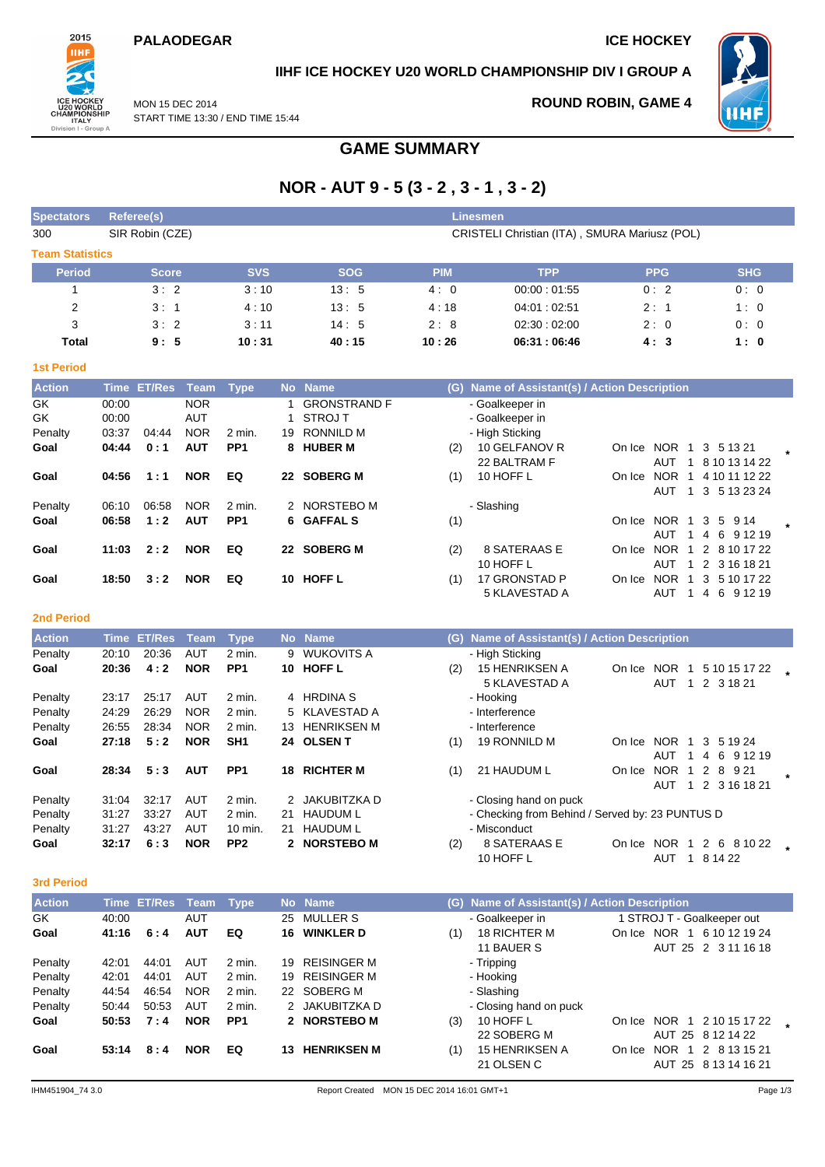## **PALAODEGAR ICE HOCKEY**



# **IIHF ICE HOCKEY U20 WORLD CHAMPIONSHIP DIV I GROUP A**

MON 15 DEC 2014 START TIME 13:30 / END TIME 15:44

# **ROUND ROBIN, GAME 4**



**GAME SUMMARY**

# **NOR - AUT 9 - 5 (3 - 2 , 3 - 1 , 3 - 2)**

| <b>Spectators</b> | Referee(s)<br><b>Linesmen</b> |            |                                               |            |             |            |            |  |  |  |  |  |  |  |  |
|-------------------|-------------------------------|------------|-----------------------------------------------|------------|-------------|------------|------------|--|--|--|--|--|--|--|--|
| 300               | SIR Robin (CZE)               |            | CRISTELI Christian (ITA), SMURA Mariusz (POL) |            |             |            |            |  |  |  |  |  |  |  |  |
|                   | <b>Team Statistics</b>        |            |                                               |            |             |            |            |  |  |  |  |  |  |  |  |
| <b>Period</b>     | <b>Score</b>                  | <b>SVS</b> | <b>SOG</b>                                    | <b>PIM</b> | <b>TPP</b>  | <b>PPG</b> | <b>SHG</b> |  |  |  |  |  |  |  |  |
|                   | 3:2                           | 3:10       | 13:5                                          | 4:0        | 00:00:01:55 | 0:2        | 0:0        |  |  |  |  |  |  |  |  |
| 2                 | 3:1                           | 4:10       | 13:5                                          | 4:18       | 04.01:02.51 | 2:1        | 1:0        |  |  |  |  |  |  |  |  |
| 3                 | 3:2                           | 3:11       | 14:5                                          | 2:8        | 02:30:02:00 | 2:0        | 0:0        |  |  |  |  |  |  |  |  |
| Total             | 9:5                           | 10:31      | 40:15                                         | 10:26      | 06:31:06:46 | 4:3        | 1:0        |  |  |  |  |  |  |  |  |

| __ | $\sim$ | - 3 |  |
|----|--------|-----|--|

| <b>Action</b> |       | Time ET/Res Team |            | Type            |    | No Name             | (G) | Name of Assistant(s) / Action Description |        |            |    |                  |  |
|---------------|-------|------------------|------------|-----------------|----|---------------------|-----|-------------------------------------------|--------|------------|----|------------------|--|
| GK            | 00:00 |                  | <b>NOR</b> |                 |    | <b>GRONSTRAND F</b> |     | - Goalkeeper in                           |        |            |    |                  |  |
| GK            | 00:00 |                  | <b>AUT</b> |                 |    | <b>STROJ T</b>      |     | - Goalkeeper in                           |        |            |    |                  |  |
| Penalty       | 03:37 | 04:44            | <b>NOR</b> | 2 min.          | 19 | RONNILD M           |     | - High Sticking                           |        |            |    |                  |  |
| Goal          | 04:44 | 0:1              | <b>AUT</b> | PP <sub>1</sub> | 8. | <b>HUBER M</b>      | (2) | 10 GELFANOV R                             | On Ice | <b>NOR</b> |    | 3<br>5 13 21     |  |
|               |       |                  |            |                 |    |                     |     | 22 BALTRAM F                              |        | AUT        |    | 8 10 13 14 22    |  |
| Goal          | 04:56 | 1:1              | <b>NOR</b> | EQ              | 22 | <b>SOBERG M</b>     | (1) | 10 HOFF L                                 | On Ice | <b>NOR</b> |    | 4 10 11 12 22    |  |
|               |       |                  |            |                 |    |                     |     |                                           |        | AUT        |    | 3<br>5 13 23 24  |  |
| Penalty       | 06:10 | 06:58            | <b>NOR</b> | 2 min.          |    | 2 NORSTEBO M        |     | - Slashing                                |        |            |    |                  |  |
| Goal          | 06:58 | 1:2              | <b>AUT</b> | PP <sub>1</sub> |    | 6 GAFFAL S          | (1) |                                           | On Ice | <b>NOR</b> |    | 5 9 14<br>3      |  |
|               |       |                  |            |                 |    |                     |     |                                           |        | AUT        |    | 6 9 1 2 1 9<br>4 |  |
| Goal          | 11:03 | 2:2              | <b>NOR</b> | EQ              | 22 | <b>SOBERG M</b>     | (2) | 8 SATERAAS E                              | On Ice | <b>NOR</b> |    | 2 8 10 17 22     |  |
|               |       |                  |            |                 |    |                     |     | 10 HOFF L                                 |        | AUT        |    | 2 3 16 18 21     |  |
| Goal          | 18:50 | 3:2              | <b>NOR</b> | EQ              | 10 | <b>HOFF L</b>       | (1) | 17 GRONSTAD P                             | On Ice | <b>NOR</b> | -1 | 3<br>5 10 17 22  |  |
|               |       |                  |            |                 |    |                     |     | 5 KLAVESTAD A                             |        | <b>AUT</b> |    | 6 9 1 2 1 9<br>4 |  |

### **2nd Period**

| <b>Action</b> | Time  | <b>ET/Res</b> | Team       | <b>Type</b>     |     | No Name           | Name of Assistant(s) / Action Description<br>(G) |                                                 |        |            |    |                  |  |
|---------------|-------|---------------|------------|-----------------|-----|-------------------|--------------------------------------------------|-------------------------------------------------|--------|------------|----|------------------|--|
| Penalty       | 20:10 | 20:36         | AUT        | $2$ min.        | 9   | <b>WUKOVITS A</b> |                                                  | - High Sticking                                 |        |            |    |                  |  |
| Goal          | 20:36 | 4:2           | <b>NOR</b> | PP <sub>1</sub> |     | 10 HOFF L         | (2)                                              | <b>15 HENRIKSEN A</b>                           | On Ice | <b>NOR</b> | -1 | 5 10 15 17 22    |  |
|               |       |               |            |                 |     |                   |                                                  | 5 KLAVESTAD A                                   |        | <b>AUT</b> |    | 2 3 18 21        |  |
| Penalty       | 23:17 | 25:17         | AUT        | $2$ min.        |     | 4 HRDINA S        |                                                  | - Hooking                                       |        |            |    |                  |  |
| Penalty       | 24:29 | 26:29         | <b>NOR</b> | 2 min.          |     | 5 KLAVESTAD A     |                                                  | - Interference                                  |        |            |    |                  |  |
| Penalty       | 26:55 | 28:34         | <b>NOR</b> | 2 min.          |     | 13 HENRIKSEN M    |                                                  | - Interference                                  |        |            |    |                  |  |
| Goal          | 27:18 | 5:2           | <b>NOR</b> | SH <sub>1</sub> |     | 24 OLSEN T        | (1)                                              | 19 RONNILD M                                    | On Ice | <b>NOR</b> | -1 | 3 5 1 9 2 4      |  |
|               |       |               |            |                 |     |                   |                                                  |                                                 |        | AUT        | -1 | 6 9 1 2 1 9<br>4 |  |
| Goal          | 28:34 | 5:3           | <b>AUT</b> | PP <sub>1</sub> | 18  | <b>RICHTER M</b>  | (1)                                              | 21 HAUDUM L                                     | On Ice | <b>NOR</b> |    | 2<br>8 9 21      |  |
|               |       |               |            |                 |     |                   |                                                  |                                                 |        | AUT        |    | 2 3 16 18 21     |  |
| Penalty       | 31:04 | 32:17         | AUT        | $2$ min.        |     | 2 JAKUBITZKA D    |                                                  | - Closing hand on puck                          |        |            |    |                  |  |
| Penalty       | 31:27 | 33.27         | AUT        | 2 min.          | 21. | <b>HAUDUM L</b>   |                                                  | - Checking from Behind / Served by: 23 PUNTUS D |        |            |    |                  |  |
| Penalty       | 31:27 | 43:27         | AUT        | 10 min.         | 21  | <b>HAUDUM L</b>   |                                                  | - Misconduct                                    |        |            |    |                  |  |
| Goal          | 32:17 | 6:3           | <b>NOR</b> | PP <sub>2</sub> |     | 2 NORSTEBO M      | (2)                                              | 8 SATERAAS E                                    | On Ice | <b>NOR</b> |    | 2<br>6 8 10 22   |  |
|               |       |               |            |                 |     |                   |                                                  | 10 HOFF L                                       |        | AUT        |    | 8 14 22          |  |

### **3rd Period**

| <b>Action</b> |       | Time ET/Res Team Type |            |                 |     | No Name            |     | (G) Name of Assistant(s) / Action Description |        |                                            |  |
|---------------|-------|-----------------------|------------|-----------------|-----|--------------------|-----|-----------------------------------------------|--------|--------------------------------------------|--|
| GK.           | 40:00 |                       | <b>AUT</b> |                 | 25  | <b>MULLER S</b>    |     | - Goalkeeper in                               |        | 1 STROJ T - Goalkeeper out                 |  |
| Goal          | 41:16 | 6:4                   | <b>AUT</b> | EQ              |     | 16 WINKLER D       | (1) | 18 RICHTER M<br>11 BAUER S                    | On Ice | NOR 1 6 10 12 19 24<br>AUT 25 2 3 11 16 18 |  |
| Penalty       | 42:01 | 44:01                 | AUT        | 2 min.          |     | 19 REISINGER M     |     | - Tripping                                    |        |                                            |  |
| Penalty       | 42:01 | 44:01                 | AUT        | 2 min.          |     | 19 REISINGER M     |     | - Hooking                                     |        |                                            |  |
| Penalty       | 44:54 | 46.54                 | <b>NOR</b> | 2 min.          |     | 22 SOBERG M        |     | - Slashing                                    |        |                                            |  |
| Penalty       | 50:44 | 50.53                 | AUT        | 2 min.          |     | 2 JAKUBITZKA D     |     | - Closing hand on puck                        |        |                                            |  |
| Goal          | 50:53 | 7:4                   | <b>NOR</b> | PP <sub>1</sub> |     | 2 NORSTEBO M       | (3) | 10 HOFF L                                     |        | On Ice NOR 1 2 10 15 17 22                 |  |
|               |       |                       |            |                 |     |                    |     | 22 SOBERG M                                   |        | AUT 25 8 12 14 22                          |  |
| Goal          | 53:14 | 8:4                   | <b>NOR</b> | EQ              | 13. | <b>HENRIKSEN M</b> | (1) | <b>15 HENRIKSEN A</b>                         | On Ice | <b>NOR</b><br>2 8 13 15 21                 |  |
|               |       |                       |            |                 |     |                    |     | 21 OLSEN C                                    |        | AUT 25 8 13 14 16 21                       |  |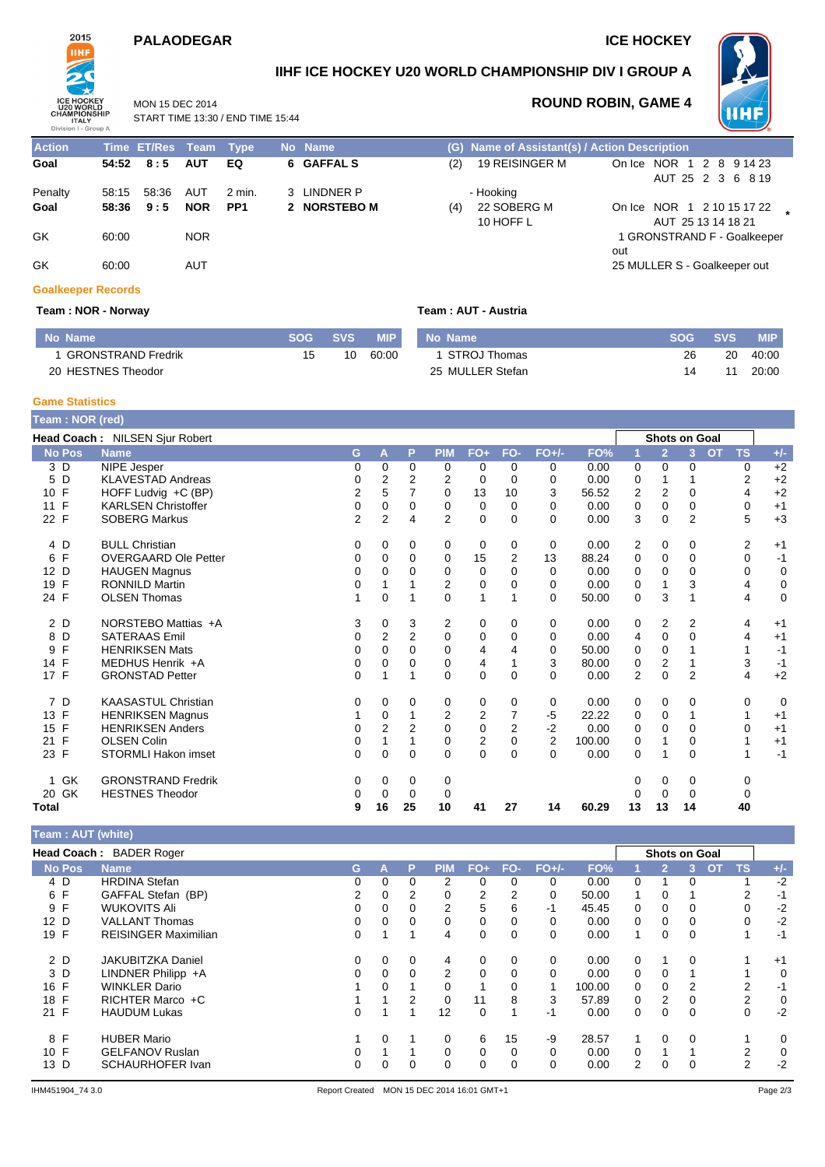## **PALAODEGAR ICE HOCKEY**

MON 15 DEC 2014

START TIME 13:30 / END TIME 15:44



**IIHF ICE HOCKEY U20 WORLD CHAMPIONSHIP DIV I GROUP A**



**ROUND ROBIN, GAME 4**

**Action Time ET/Res Team Type No Name (G) Name of Assistant(s) / Action Description Goal 54:52 8 : 5 AUT EQ 6 GAFFAL S** (2) 19 REISINGER M On Ice NOR 1 2 8 9 14 23 AUT 25 2 3 6 8 19 Penalty 58:15 58:36 AUT 2 min. 3 LINDNER P - Hooking<br> **Goal 58:36 9:5 NOR PP1 2 NORSTEBO M** (4) 22 SOBI **Goal 58:36 9 : 5 NOR PP1 2 NORSTEBO M** (4) 22 SOBERG M 10 HOFF L On Ice NOR 1 2 10 15 17 22 **\*** AUT 25 13 14 18 21 GK 60:00 NOR 1 GRONSTRAND F - Goalkeeper out GK 60:00 AUT 25 MULLER S - Goalkeeper out

# **Goalkeeper Records**

**Team : NOR - Norway Team : AUT - Austria**

| No Name              | <b>SOG</b> | <b>SVS</b> | <b>MIP</b> | No Name          | <b>SOG</b> | <b>SVS</b> | MIP.  |
|----------------------|------------|------------|------------|------------------|------------|------------|-------|
| 1 GRONSTRAND Fredrik |            | 10         | 60:00      | 1 STROJ Thomas   | 26         | 20         | 40:00 |
| 20 HESTNES Theodor   |            |            |            | 25 MULLER Stefan | 14         |            | 20:00 |

### **Game Statistics**

| Team: NOR (red) |                                |                |                |             |                |                |                |                |        |                |                      |                |           |           |             |
|-----------------|--------------------------------|----------------|----------------|-------------|----------------|----------------|----------------|----------------|--------|----------------|----------------------|----------------|-----------|-----------|-------------|
|                 | Head Coach: NILSEN Sjur Robert |                |                |             |                |                |                |                |        |                | <b>Shots on Goal</b> |                |           |           |             |
| <b>No Pos</b>   | <b>Name</b>                    | G              | A              | P           | <b>PIM</b>     | $FO+$          | FO-            | $FO+/-$        | FO%    |                | $\overline{2}$       | 3 <sup>2</sup> | <b>OT</b> | <b>TS</b> | $+/-$       |
| 3 D             | <b>NIPE Jesper</b>             | 0              | 0              | 0           | 0              | 0              | 0              | 0              | 0.00   | $\mathbf 0$    | 0                    | $\mathbf 0$    |           | 0         | $+2$        |
| D<br>5          | <b>KLAVESTAD Andreas</b>       | 0              | 2              | 2           | 2              | 0              | $\Omega$       | 0              | 0.00   | $\mathbf 0$    | 1                    |                |           | 2         | $+2$        |
| F<br>10         | HOFF Ludvig +C (BP)            | 2              | 5              |             | 0              | 13             | 10             | 3              | 56.52  | 2              | 2                    | 0              |           | 4         | $+2$        |
| 11 F            | <b>KARLSEN Christoffer</b>     | 0              | 0              | 0           | 0              | 0              | 0              | 0              | 0.00   | 0              | 0                    | 0              |           | 0         | $+1$        |
| 22 F            | <b>SOBERG Markus</b>           | $\overline{2}$ | $\overline{2}$ | 4           | $\overline{2}$ | 0              | 0              | 0              | 0.00   | 3              | 0                    | $\overline{2}$ |           | 5         | $+3$        |
| 4 D             | <b>BULL Christian</b>          | 0              | 0              | 0           | 0              | 0              | 0              | 0              | 0.00   | 2              | 0                    | 0              |           | 2         | $+1$        |
| F<br>6          | <b>OVERGAARD Ole Petter</b>    | 0              | 0              | 0           | 0              | 15             | 2              | 13             | 88.24  | 0              | 0                    | $\mathbf 0$    |           | 0         | $-1$        |
| 12 D            | <b>HAUGEN Magnus</b>           | 0              | $\Omega$       | $\Omega$    | 0              | 0              | $\Omega$       | $\Omega$       | 0.00   | 0              | $\Omega$             | $\Omega$       |           | 0         | $\mathbf 0$ |
| F<br>19         | <b>RONNILD Martin</b>          | 0              |                |             | 2              | 0              | 0              | $\Omega$       | 0.00   | 0              |                      | 3              |           | 4         | 0           |
| 24 F            | <b>OLSEN Thomas</b>            |                | 0              |             | $\Omega$       | 1              |                | $\Omega$       | 50.00  | 0              | 3                    |                |           | 4         | $\mathbf 0$ |
| 2 D             | NORSTEBO Mattias +A            | 3              | 0              | 3           | 2              | 0              | $\Omega$       | 0              | 0.00   | 0              | $\overline{2}$       | 2              |           | 4         | $+1$        |
| D<br>8          | <b>SATERAAS Emil</b>           | 0              | 2              | 2           | 0              | 0              | 0              | 0              | 0.00   | 4              | $\mathbf 0$          | $\Omega$       |           | 4         | $+1$        |
| F<br>9          | <b>HENRIKSEN Mats</b>          | 0              | $\Omega$       | $\Omega$    | 0              | 4              | 4              | 0              | 50.00  | 0              | $\mathbf 0$          |                |           |           | $-1$        |
| 14 F            | MEDHUS Henrik +A               | 0              | 0              | $\Omega$    | 0              | 4              |                | 3              | 80.00  | 0              | $\overline{2}$       |                |           | 3         | $-1$        |
| 17 F            | <b>GRONSTAD Petter</b>         | 0              |                |             | $\Omega$       | 0              | $\Omega$       | $\Omega$       | 0.00   | $\overline{2}$ | $\Omega$             | $\overline{2}$ |           | 4         | $+2$        |
| 7 D             | <b>KAASASTUL Christian</b>     | 0              | 0              | 0           | 0              | 0              | 0              | 0              | 0.00   | 0              | 0                    | 0              |           | 0         | 0           |
| 13 F            | <b>HENRIKSEN Magnus</b>        |                | 0              |             | $\overline{2}$ | $\overline{2}$ | 7              | $-5$           | 22.22  | 0              | 0                    |                |           |           | $+1$        |
| F<br>15         | <b>HENRIKSEN Anders</b>        | 0              | $\overline{2}$ | 2           | 0              | $\mathbf 0$    | $\overline{2}$ | $-2$           | 0.00   | 0              | $\Omega$             | 0              |           | 0         | $+1$        |
| 21 F            | <b>OLSEN Colin</b>             | 0              | 1              |             | 0              | 2              | 0              | $\overline{2}$ | 100.00 | 0              | 1                    | 0              |           |           | $+1$        |
| 23 F            | <b>STORMLI Hakon imset</b>     | 0              | 0              | $\Omega$    | $\Omega$       | $\mathbf 0$    | $\Omega$       | $\Omega$       | 0.00   | $\Omega$       |                      | 0              |           |           | $-1$        |
| 1 GK            | <b>GRONSTRAND Fredrik</b>      | 0              | 0              | $\mathbf 0$ | 0              |                |                |                |        | 0              | 0                    | 0              |           | 0         |             |
| GK<br>20        | <b>HESTNES Theodor</b>         | 0              | 0              | $\mathbf 0$ | 0              |                |                |                |        | 0              | $\mathbf 0$          | 0              |           | 0         |             |
| <b>Total</b>    |                                | 9              | 16             | 25          | 10             | 41             | 27             | 14             | 60.29  | 13             | 13                   | 14             |           | 40        |             |

### **Team : AUT (white)**

|               | Head Coach: BADER Roger     |    |          |   |                |       |     |          |        |                | <b>Shots on Goal</b> |          |           |           |       |
|---------------|-----------------------------|----|----------|---|----------------|-------|-----|----------|--------|----------------|----------------------|----------|-----------|-----------|-------|
| <b>No Pos</b> | <b>Name</b>                 | G. | А        | P | <b>PIM</b>     | $FO+$ | FO- | $FO+/-$  | FO%    |                |                      | 3        | <b>OT</b> | <b>TS</b> | $+/-$ |
| 4 D           | <b>HRDINA Stefan</b>        | 0  | $\Omega$ | 0 | 2              | 0     | 0   | $\Omega$ | 0.00   | 0              |                      | 0        |           |           | $-2$  |
| 6 F           | GAFFAL Stefan (BP)          | 2  | $\Omega$ | 2 | 0              | 2     | 2   | 0        | 50.00  |                | 0                    |          |           | 2         | -1    |
| 9 F           | <b>WUKOVITS Ali</b>         | 0  | 0        | 0 | 2              | 5     | 6   | -1       | 45.45  | 0              | 0                    | 0        |           | 0         | $-2$  |
| 12 D          | <b>VALLANT Thomas</b>       | 0  | $\Omega$ | 0 |                | 0     | 0   | $\Omega$ | 0.00   | $\Omega$       | 0                    | 0        |           | 0         | $-2$  |
| 19 F          | <b>REISINGER Maximilian</b> | 0  |          |   | 4              | 0     | 0   | 0        | 0.00   |                | 0                    | $\Omega$ |           |           | $-1$  |
| 2 D           | <b>JAKUBITZKA Daniel</b>    | 0  | 0        | 0 | 4              | 0     | 0   | 0        | 0.00   | 0              |                      | $\Omega$ |           |           | $+1$  |
| 3 D           | LINDNER Philipp +A          | 0  | 0        | 0 | $\overline{2}$ | 0     | 0   | 0        | 0.00   | 0              | 0                    |          |           |           | 0     |
| 16 F          | <b>WINKLER Dario</b>        |    | $\Omega$ |   |                |       | 0   |          | 100.00 | 0              | 0                    | 2        |           | 2         | $-1$  |
| F<br>18       | RICHTER Marco +C            |    |          | 2 | 0              | 11    | 8   | 3        | 57.89  | $\Omega$       | 2                    | 0        |           | 2         | 0     |
| 21 F          | <b>HAUDUM Lukas</b>         | 0  |          |   | 12             | 0     |     | -1       | 0.00   | 0              |                      | $\Omega$ |           | 0         | $-2$  |
| 8 F           | <b>HUBER Mario</b>          |    | $\Omega$ |   |                | 6     | 15  | -9       | 28.57  |                | 0                    | $\Omega$ |           |           | 0     |
| 10 F          | <b>GELFANOV Ruslan</b>      | 0  |          |   |                | 0     | 0   | 0        | 0.00   | 0              |                      |          |           | 2         | 0     |
| D<br>13       | <b>SCHAURHOFER Ivan</b>     | 0  | 0        | 0 |                | 0     | 0   | 0        | 0.00   | $\overline{2}$ |                      | 0        |           | 2         | $-2$  |